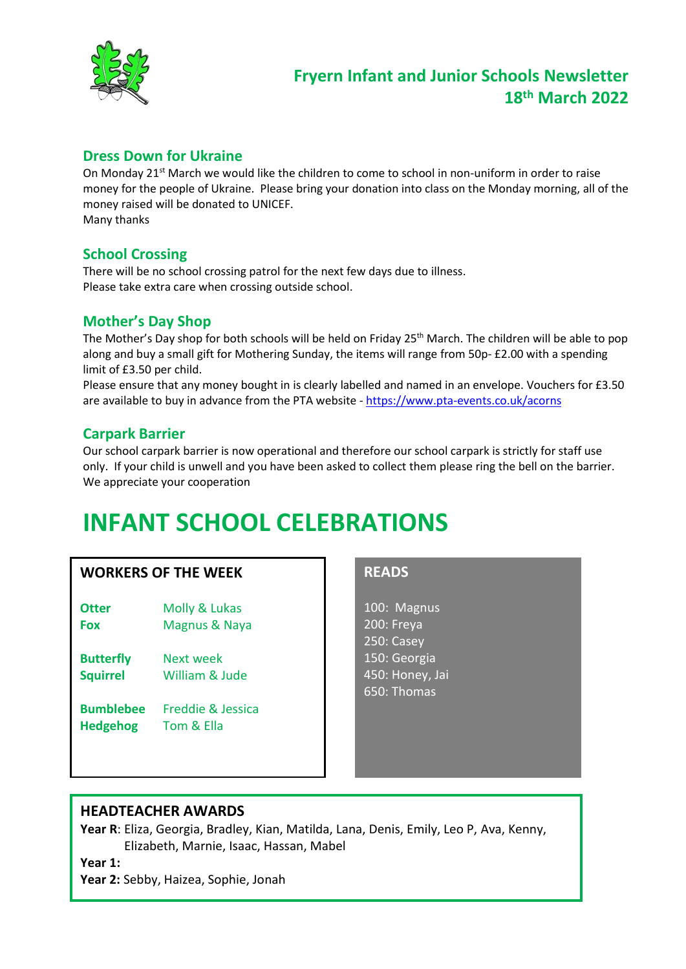

### **Dress Down for Ukraine**

On Monday  $21^{st}$  March we would like the children to come to school in non-uniform in order to raise money for the people of Ukraine. Please bring your donation into class on the Monday morning, all of the money raised will be donated to UNICEF. Many thanks

## **School Crossing**

There will be no school crossing patrol for the next few days due to illness. Please take extra care when crossing outside school.

### **Mother's Day Shop**

The Mother's Day shop for both schools will be held on Friday 25<sup>th</sup> March. The children will be able to pop along and buy a small gift for Mothering Sunday, the items will range from 50p- £2.00 with a spending limit of £3.50 per child.

Please ensure that any money bought in is clearly labelled and named in an envelope. Vouchers for £3.50 are available to buy in advance from the PTA website - <https://www.pta-events.co.uk/acorns>

# **Carpark Barrier**

Our school carpark barrier is now operational and therefore our school carpark is strictly for staff use only. If your child is unwell and you have been asked to collect them please ring the bell on the barrier. We appreciate your cooperation

# **INFANT SCHOOL CELEBRATIONS**

### **WORKERS OF THE WEEK**

- **Otter** Molly & Lukas **Fox** Magnus & Naya
- **Butterfly** Next week **Squirrel** William & Jude
- **Bumblebee** Freddie & Jessica **Hedgehog** Tom & Ella

### **READS**

100: Magnus 200: Freya 250: Casey 150: Georgia 450: Honey, Jai 650: Thomas

### **HEADTEACHER AWARDS**

**Year R**: Eliza, Georgia, Bradley, Kian, Matilda, Lana, Denis, Emily, Leo P, Ava, Kenny, Elizabeth, Marnie, Isaac, Hassan, Mabel

**Year 1:** 

**Year 2:** Sebby, Haizea, Sophie, Jonah